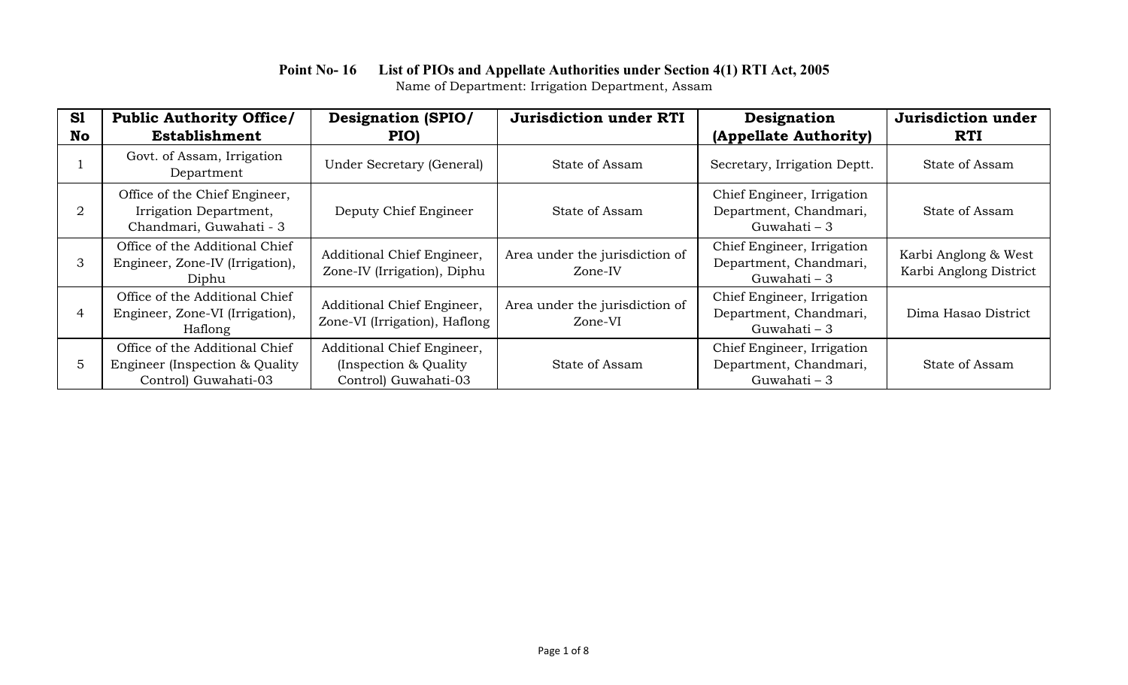| S1 | <b>Public Authority Office/</b>                                                          | <b>Designation (SPIO/</b>                                                    | <b>Jurisdiction under RTI</b>             | Designation                                                          | Jurisdiction under                             |
|----|------------------------------------------------------------------------------------------|------------------------------------------------------------------------------|-------------------------------------------|----------------------------------------------------------------------|------------------------------------------------|
| No | <b>Establishment</b>                                                                     | PIO)                                                                         |                                           | (Appellate Authority)                                                | <b>RTI</b>                                     |
|    | Govt. of Assam, Irrigation<br>Department                                                 | Under Secretary (General)                                                    | State of Assam                            | Secretary, Irrigation Deptt.                                         | State of Assam                                 |
| 2  | Office of the Chief Engineer,<br>Irrigation Department,<br>Chandmari, Guwahati - 3       | Deputy Chief Engineer                                                        | State of Assam                            | Chief Engineer, Irrigation<br>Department, Chandmari,<br>Guwahati – 3 | State of Assam                                 |
| 3  | Office of the Additional Chief<br>Engineer, Zone-IV (Irrigation),<br>Diphu               | Additional Chief Engineer,<br>Zone-IV (Irrigation), Diphu                    | Area under the jurisdiction of<br>Zone-IV | Chief Engineer, Irrigation<br>Department, Chandmari,<br>Guwahati – 3 | Karbi Anglong & West<br>Karbi Anglong District |
| 4  | Office of the Additional Chief<br>Engineer, Zone-VI (Irrigation),<br>Haflong             | Additional Chief Engineer,<br>Zone-VI (Irrigation), Haflong                  | Area under the jurisdiction of<br>Zone-VI | Chief Engineer, Irrigation<br>Department, Chandmari,<br>Guwahati – 3 | Dima Hasao District                            |
| 5. | Office of the Additional Chief<br>Engineer (Inspection & Quality<br>Control) Guwahati-03 | Additional Chief Engineer,<br>(Inspection & Quality)<br>Control) Guwahati-03 | State of Assam                            | Chief Engineer, Irrigation<br>Department, Chandmari,<br>Guwahati – 3 | State of Assam                                 |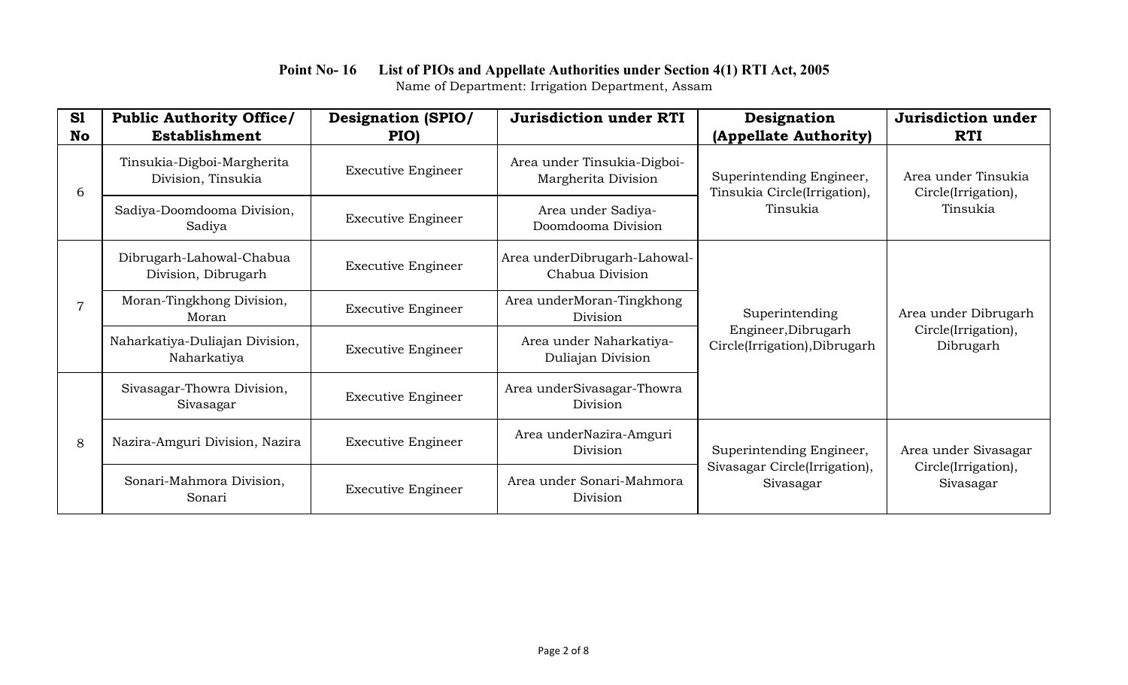| S1             | <b>Public Authority Office/</b>                  | <b>Designation (SPIO/</b> | <b>Jurisdiction under RTI</b>                      | Designation                                                            | Jurisdiction under                                       |
|----------------|--------------------------------------------------|---------------------------|----------------------------------------------------|------------------------------------------------------------------------|----------------------------------------------------------|
| <b>No</b>      | <b>Establishment</b>                             | PIO)                      |                                                    | (Appellate Authority)                                                  | <b>RTI</b>                                               |
| 6              | Tinsukia-Digboi-Margherita<br>Division, Tinsukia | <b>Executive Engineer</b> | Area under Tinsukia-Digboi-<br>Margherita Division | Superintending Engineer,<br>Tinsukia Circle(Irrigation),<br>Tinsukia   | Area under Tinsukia<br>Circle(Irrigation),<br>Tinsukia   |
|                | Sadiya-Doomdooma Division,<br>Sadiya             | <b>Executive Engineer</b> | Area under Sadiya-<br>Doomdooma Division           |                                                                        |                                                          |
|                | Dibrugarh-Lahowal-Chabua<br>Division, Dibrugarh  | <b>Executive Engineer</b> | Area underDibrugarh-Lahowal-<br>Chabua Division    | Superintending<br>Engineer, Dibrugarh<br>Circle(Irrigation), Dibrugarh |                                                          |
| $\overline{7}$ | Moran-Tingkhong Division,<br>Moran               | <b>Executive Engineer</b> | Area underMoran-Tingkhong<br>Division              |                                                                        | Area under Dibrugarh<br>Circle(Irrigation),<br>Dibrugarh |
|                | Naharkatiya-Duliajan Division,<br>Naharkatiya    | <b>Executive Engineer</b> | Area under Naharkatiya-<br>Duliajan Division       |                                                                        |                                                          |
| 8              | Sivasagar-Thowra Division,<br>Sivasagar          | <b>Executive Engineer</b> | Area underSivasagar-Thowra<br>Division             |                                                                        |                                                          |
|                | Nazira-Amguri Division, Nazira                   | <b>Executive Engineer</b> | Area underNazira-Amguri<br>Division                | Superintending Engineer,<br>Sivasagar Circle(Irrigation),<br>Sivasagar | Area under Sivasagar<br>Circle(Irrigation),<br>Sivasagar |
|                | Sonari-Mahmora Division,<br>Sonari               | <b>Executive Engineer</b> | Area under Sonari-Mahmora<br>Division              |                                                                        |                                                          |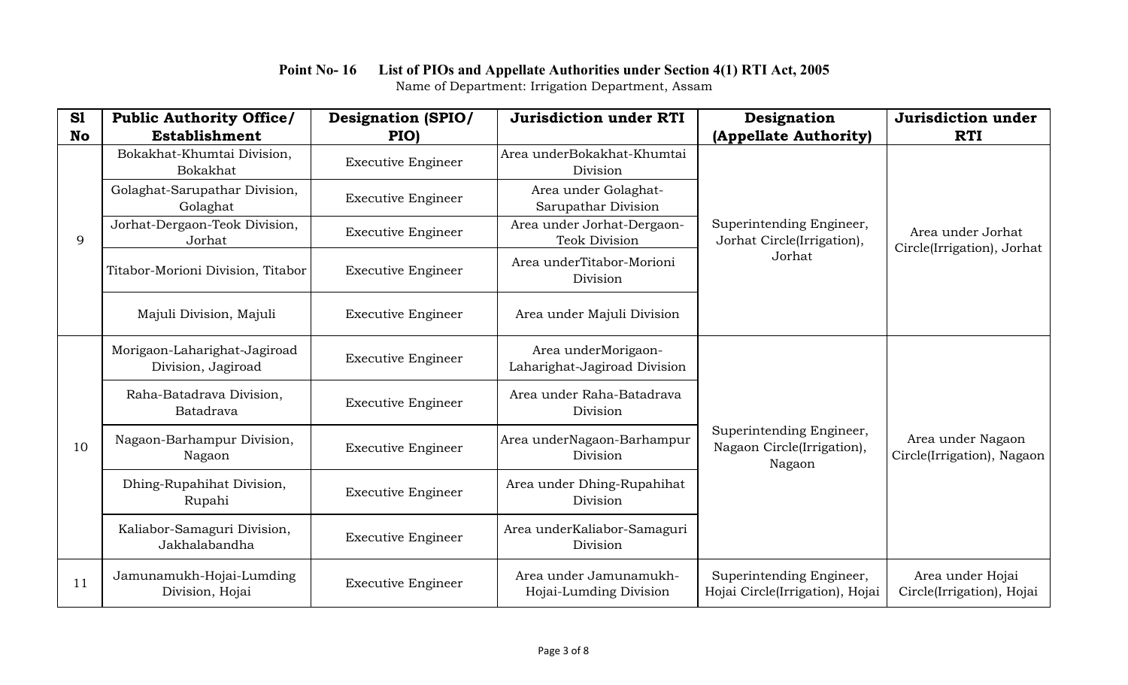| S1        | <b>Public Authority Office/</b>                    | <b>Designation (SPIO/</b> | <b>Jurisdiction under RTI</b>                       | Designation                                                      | Jurisdiction under                              |
|-----------|----------------------------------------------------|---------------------------|-----------------------------------------------------|------------------------------------------------------------------|-------------------------------------------------|
| <b>No</b> | <b>Establishment</b>                               | PIO)                      |                                                     | (Appellate Authority)                                            | <b>RTI</b>                                      |
|           | Bokakhat-Khumtai Division,<br>Bokakhat             | <b>Executive Engineer</b> | Area underBokakhat-Khumtai<br>Division              | Superintending Engineer,<br>Jorhat Circle(Irrigation),<br>Jorhat | Area under Jorhat<br>Circle(Irrigation), Jorhat |
|           | Golaghat-Sarupathar Division,<br>Golaghat          | <b>Executive Engineer</b> | Area under Golaghat-<br>Sarupathar Division         |                                                                  |                                                 |
| 9         | Jorhat-Dergaon-Teok Division,<br>Jorhat            | <b>Executive Engineer</b> | Area under Jorhat-Dergaon-<br><b>Teok Division</b>  |                                                                  |                                                 |
|           | Titabor-Morioni Division, Titabor                  | <b>Executive Engineer</b> | Area underTitabor-Morioni<br>Division               |                                                                  |                                                 |
|           | Majuli Division, Majuli                            | <b>Executive Engineer</b> | Area under Majuli Division                          |                                                                  |                                                 |
|           | Morigaon-Laharighat-Jagiroad<br>Division, Jagiroad | <b>Executive Engineer</b> | Area underMorigaon-<br>Laharighat-Jagiroad Division | Superintending Engineer,<br>Nagaon Circle(Irrigation),<br>Nagaon | Area under Nagaon<br>Circle(Irrigation), Nagaon |
|           | Raha-Batadrava Division,<br>Batadrava              | <b>Executive Engineer</b> | Area under Raha-Batadrava<br>Division               |                                                                  |                                                 |
| 10        | Nagaon-Barhampur Division,<br>Nagaon               | <b>Executive Engineer</b> | Area underNagaon-Barhampur<br>Division              |                                                                  |                                                 |
|           | Dhing-Rupahihat Division,<br>Rupahi                | <b>Executive Engineer</b> | Area under Dhing-Rupahihat<br>Division              |                                                                  |                                                 |
|           | Kaliabor-Samaguri Division,<br>Jakhalabandha       | <b>Executive Engineer</b> | Area underKaliabor-Samaguri<br>Division             |                                                                  |                                                 |
| 11        | Jamunamukh-Hojai-Lumding<br>Division, Hojai        | <b>Executive Engineer</b> | Area under Jamunamukh-<br>Hojai-Lumding Division    | Superintending Engineer,<br>Hojai Circle(Irrigation), Hojai      | Area under Hojai<br>Circle(Irrigation), Hojai   |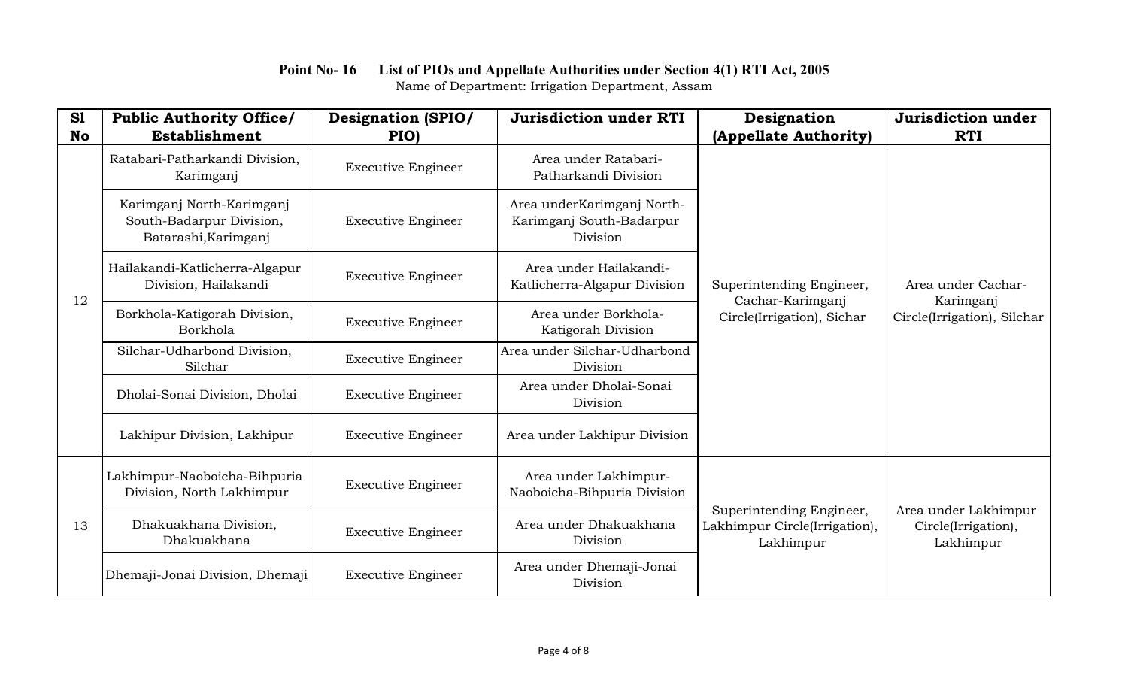| S1<br><b>No</b> | <b>Public Authority Office/</b><br><b>Establishment</b>                       | <b>Designation (SPIO/</b><br>PIO) | <b>Jurisdiction under RTI</b>                                      | Designation<br>(Appellate Authority)                                       | Jurisdiction under<br><b>RTI</b>         |
|-----------------|-------------------------------------------------------------------------------|-----------------------------------|--------------------------------------------------------------------|----------------------------------------------------------------------------|------------------------------------------|
|                 | Ratabari-Patharkandi Division,<br>Karimganj                                   | <b>Executive Engineer</b>         | Area under Ratabari-<br>Patharkandi Division                       | Superintending Engineer,<br>Cachar-Karimganj<br>Circle(Irrigation), Sichar | Area under Cachar-                       |
| 12              | Karimganj North-Karimganj<br>South-Badarpur Division,<br>Batarashi, Karimganj | <b>Executive Engineer</b>         | Area underKarimganj North-<br>Karimganj South-Badarpur<br>Division |                                                                            |                                          |
|                 | Hailakandi-Katlicherra-Algapur<br>Division, Hailakandi                        | <b>Executive Engineer</b>         | Area under Hailakandi-<br>Katlicherra-Algapur Division             |                                                                            |                                          |
|                 | Borkhola-Katigorah Division,<br>Borkhola                                      | <b>Executive Engineer</b>         | Area under Borkhola-<br>Katigorah Division                         |                                                                            | Karimganj<br>Circle(Irrigation), Silchar |
|                 | Silchar-Udharbond Division,<br>Silchar                                        | <b>Executive Engineer</b>         | Area under Silchar-Udharbond<br>Division                           |                                                                            |                                          |
|                 | Dholai-Sonai Division, Dholai                                                 | <b>Executive Engineer</b>         | Area under Dholai-Sonai<br>Division                                |                                                                            |                                          |
|                 | Lakhipur Division, Lakhipur                                                   | <b>Executive Engineer</b>         | Area under Lakhipur Division                                       |                                                                            |                                          |
| 13              | Lakhimpur-Naoboicha-Bihpuria<br>Division, North Lakhimpur                     | <b>Executive Engineer</b>         | Area under Lakhimpur-<br>Naoboicha-Bihpuria Division               | Superintending Engineer,                                                   | Area under Lakhimpur                     |
|                 | Dhakuakhana Division,<br>Dhakuakhana                                          | <b>Executive Engineer</b>         | Area under Dhakuakhana<br>Division                                 | Lakhimpur Circle(Irrigation),<br>Lakhimpur                                 | Circle(Irrigation),<br>Lakhimpur         |
|                 | Dhemaji-Jonai Division, Dhemaji                                               | <b>Executive Engineer</b>         | Area under Dhemaji-Jonai<br>Division                               |                                                                            |                                          |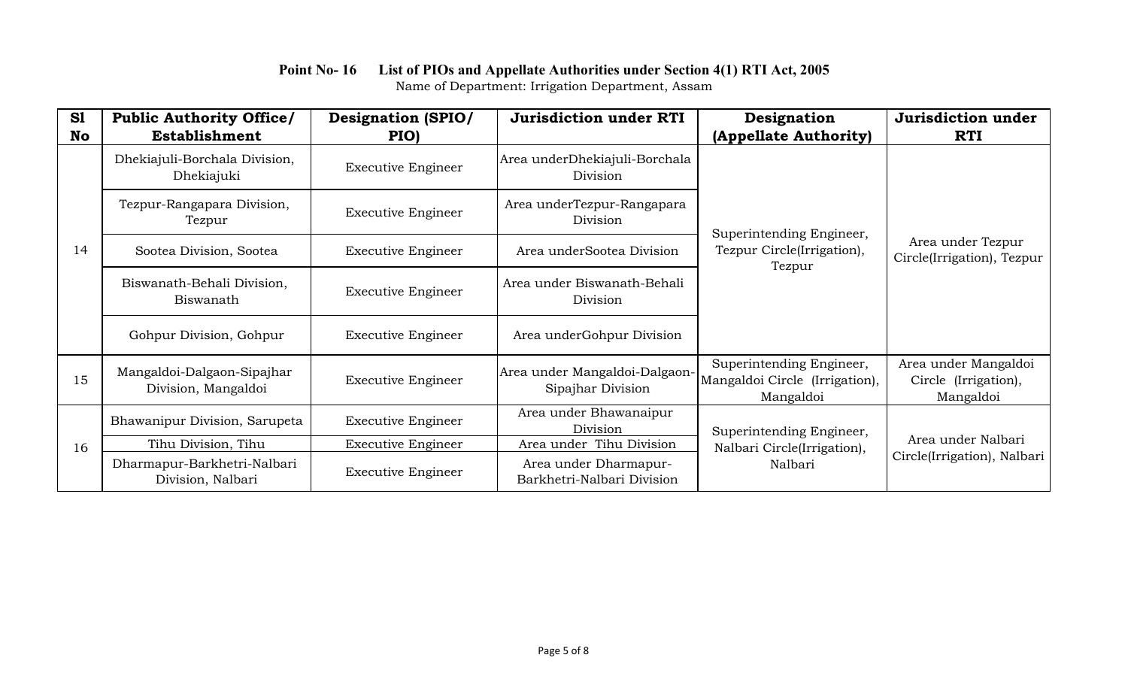#### **Point No- 16 List of PIOs and Appellate Authorities under Section 4(1) RTI Act, 2005** Name of Department: Irrigation Department, Assam

| S1<br>No | <b>Public Authority Office/</b><br><b>Establishment</b> | <b>Designation (SPIO/</b><br>PIO) | <b>Jurisdiction under RTI</b>                       | Designation<br>(Appellate Authority)                                    | Jurisdiction under<br><b>RTI</b>                          |
|----------|---------------------------------------------------------|-----------------------------------|-----------------------------------------------------|-------------------------------------------------------------------------|-----------------------------------------------------------|
|          | Dhekiajuli-Borchala Division,<br>Dhekiajuki             | <b>Executive Engineer</b>         | Area underDhekiajuli-Borchala<br>Division           | Superintending Engineer,<br>Tezpur Circle(Irrigation),<br>Tezpur        | Area under Tezpur<br>Circle(Irrigation), Tezpur           |
|          | Tezpur-Rangapara Division,<br>Tezpur                    | <b>Executive Engineer</b>         | Area underTezpur-Rangapara<br>Division              |                                                                         |                                                           |
| 14       | Sootea Division, Sootea                                 | <b>Executive Engineer</b>         | Area underSootea Division                           |                                                                         |                                                           |
|          | Biswanath-Behali Division,<br>Biswanath                 | <b>Executive Engineer</b>         | Area under Biswanath-Behali<br>Division             |                                                                         |                                                           |
|          | Gohpur Division, Gohpur                                 | <b>Executive Engineer</b>         | Area underGohpur Division                           |                                                                         |                                                           |
| 15       | Mangaldoi-Dalgaon-Sipajhar<br>Division, Mangaldoi       | <b>Executive Engineer</b>         | Area under Mangaldoi-Dalgaon-<br>Sipajhar Division  | Superintending Engineer,<br>Mangaldoi Circle (Irrigation),<br>Mangaldoi | Area under Mangaldoi<br>Circle (Irrigation),<br>Mangaldoi |
| 16       | Bhawanipur Division, Sarupeta                           | <b>Executive Engineer</b>         | Area under Bhawanaipur<br>Division                  | Superintending Engineer,<br>Nalbari Circle(Irrigation),<br>Nalbari      | Area under Nalbari<br>Circle(Irrigation), Nalbari         |
|          | Tihu Division, Tihu                                     | <b>Executive Engineer</b>         | Area under Tihu Division                            |                                                                         |                                                           |
|          | Dharmapur-Barkhetri-Nalbari<br>Division, Nalbari        | <b>Executive Engineer</b>         | Area under Dharmapur-<br>Barkhetri-Nalbari Division |                                                                         |                                                           |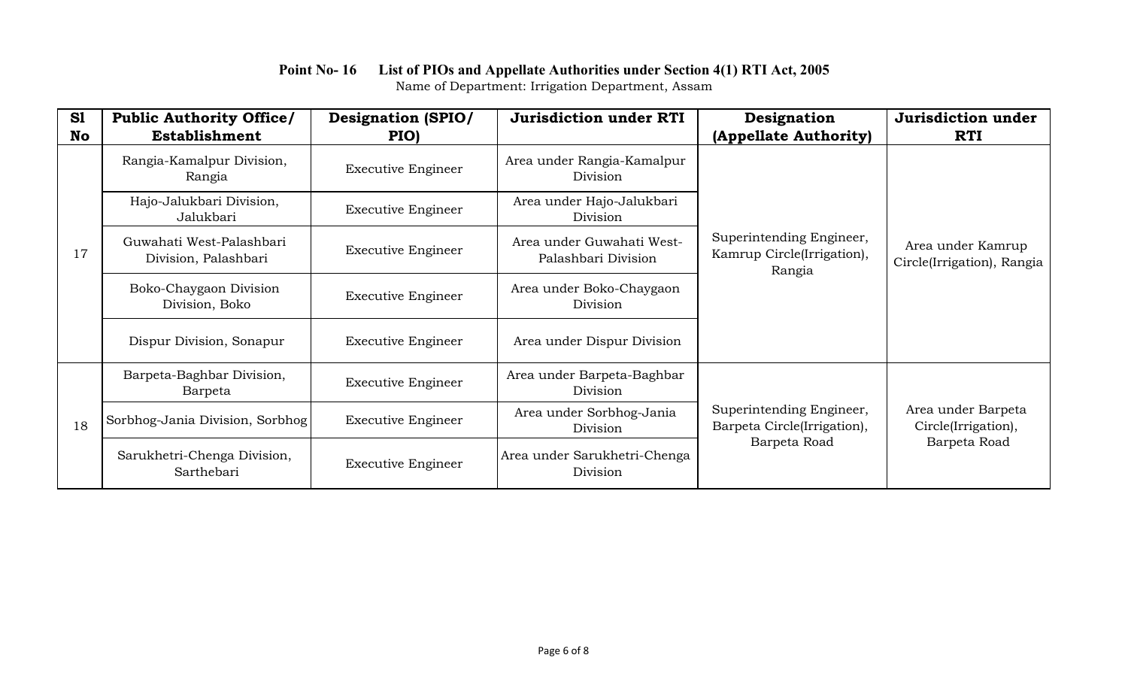| S1<br>No | <b>Public Authority Office/</b><br>Establishment | <b>Designation (SPIO/</b><br>PIO) | <b>Jurisdiction under RTI</b>                    | Designation<br>(Appellate Authority)                                    | Jurisdiction under<br><b>RTI</b>                |
|----------|--------------------------------------------------|-----------------------------------|--------------------------------------------------|-------------------------------------------------------------------------|-------------------------------------------------|
|          | Rangia-Kamalpur Division,<br>Rangia              | <b>Executive Engineer</b>         | Area under Rangia-Kamalpur<br>Division           | Superintending Engineer,<br>Kamrup Circle(Irrigation),<br>Rangia        | Area under Kamrup<br>Circle(Irrigation), Rangia |
|          | Hajo-Jalukbari Division,<br>Jalukbari            | <b>Executive Engineer</b>         | Area under Hajo-Jalukbari<br>Division            |                                                                         |                                                 |
| 17       | Guwahati West-Palashbari<br>Division, Palashbari | <b>Executive Engineer</b>         | Area under Guwahati West-<br>Palashbari Division |                                                                         |                                                 |
|          | Boko-Chaygaon Division<br>Division, Boko         | <b>Executive Engineer</b>         | Area under Boko-Chaygaon<br>Division             |                                                                         |                                                 |
|          | Dispur Division, Sonapur                         | <b>Executive Engineer</b>         | Area under Dispur Division                       |                                                                         |                                                 |
| 18       | Barpeta-Baghbar Division,<br>Barpeta             | <b>Executive Engineer</b>         | Area under Barpeta-Baghbar<br>Division           | Superintending Engineer,<br>Barpeta Circle(Irrigation),<br>Barpeta Road |                                                 |
|          | Sorbhog-Jania Division, Sorbhog                  | <b>Executive Engineer</b>         | Area under Sorbhog-Jania<br>Division             |                                                                         | Area under Barpeta<br>Circle(Irrigation),       |
|          | Sarukhetri-Chenga Division,<br>Sarthebari        | <b>Executive Engineer</b>         | Area under Sarukhetri-Chenga<br>Division         |                                                                         | Barpeta Road                                    |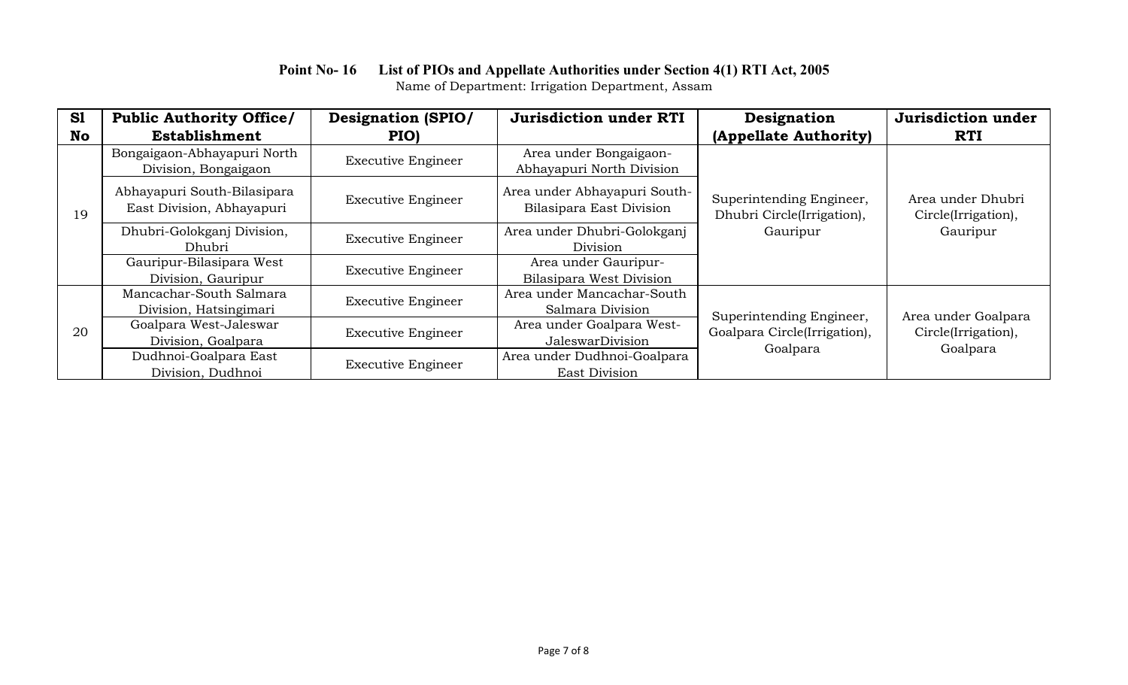| S1        | <b>Public Authority Office/</b>                          | <b>Designation (SPIO/</b> | <b>Jurisdiction under RTI</b>                            | Designation                                                          | Jurisdiction under                                     |
|-----------|----------------------------------------------------------|---------------------------|----------------------------------------------------------|----------------------------------------------------------------------|--------------------------------------------------------|
| <b>No</b> | Establishment                                            | PIO)                      |                                                          | (Appellate Authority)                                                | <b>RTI</b>                                             |
| 19        | Bongaigaon-Abhayapuri North<br>Division, Bongaigaon      | <b>Executive Engineer</b> | Area under Bongaigaon-<br>Abhayapuri North Division      | Superintending Engineer,<br>Dhubri Circle(Irrigation),<br>Gauripur   | Area under Dhubri<br>Circle(Irrigation),<br>Gauripur   |
|           | Abhayapuri South-Bilasipara<br>East Division, Abhayapuri | <b>Executive Engineer</b> | Area under Abhayapuri South-<br>Bilasipara East Division |                                                                      |                                                        |
|           | Dhubri-Golokganj Division,<br><b>Dhubri</b>              | <b>Executive Engineer</b> | Area under Dhubri-Golokganj<br>Division                  |                                                                      |                                                        |
|           | Gauripur-Bilasipara West<br>Division, Gauripur           | <b>Executive Engineer</b> | Area under Gauripur-<br>Bilasipara West Division         |                                                                      |                                                        |
|           | Mancachar-South Salmara                                  | <b>Executive Engineer</b> | Area under Mancachar-South                               | Superintending Engineer,<br>Goalpara Circle(Irrigation),<br>Goalpara | Area under Goalpara<br>Circle(Irrigation),<br>Goalpara |
| 20        | Division, Hatsingimari                                   |                           | Salmara Division                                         |                                                                      |                                                        |
|           | Goalpara West-Jaleswar                                   |                           | Area under Goalpara West-                                |                                                                      |                                                        |
|           | Division, Goalpara                                       | <b>Executive Engineer</b> | JaleswarDivision                                         |                                                                      |                                                        |
|           | Dudhnoi-Goalpara East                                    |                           | Area under Dudhnoi-Goalpara                              |                                                                      |                                                        |
|           | Division, Dudhnoi                                        | <b>Executive Engineer</b> | East Division                                            |                                                                      |                                                        |